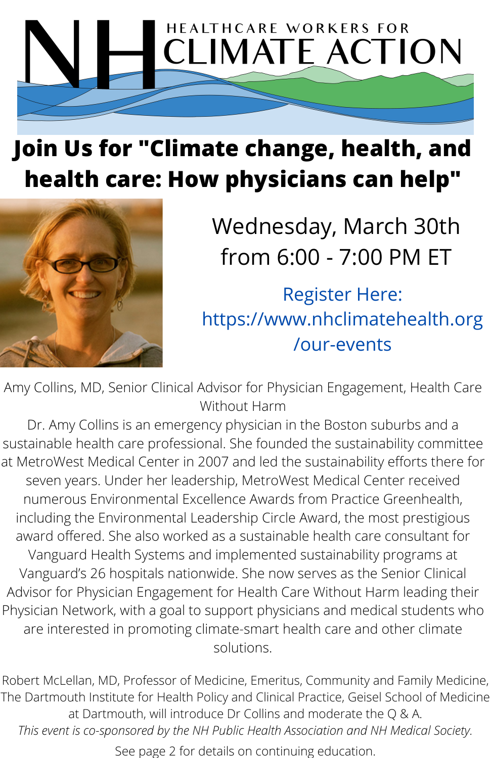

# **Join Us for "Climate change, health, and health care: How physicians can help"**



Wednesday, March 30th from 6:00 - 7:00 PM ET

Register Here: https://www.nhclimatehealth.org /our-events

Amy Collins, MD, Senior Clinical Advisor for Physician Engagement, Health Care Without Harm

Dr. Amy Collins is an emergency physician in the Boston suburbs and a sustainable health care professional. She founded the sustainability committee at MetroWest Medical Center in 2007 and led the sustainability efforts there for seven years. Under her leadership, MetroWest Medical Center received numerous Environmental Excellence Awards from Practice Greenhealth, including the Environmental Leadership Circle Award, the most prestigious award offered. She also worked as a sustainable health care consultant for Vanguard Health Systems and implemented sustainability programs at Vanguard's 26 hospitals nationwide. She now serves as the Senior Clinical Advisor for Physician Engagement for Health Care Without Harm leading their Physician Network, with a goal to support physicians and medical students who are interested in promoting climate-smart health care and other climate solutions.

Robert McLellan, MD, Professor of Medicine, Emeritus, Community and Family Medicine, The Dartmouth Institute for Health Policy and Clinical Practice, Geisel School of Medicine at Dartmouth, will introduce Dr Collins and moderate the Q & A. *This event is co-sponsored by the NH Public Health Association and NH Medical Society.*

See page 2 for details on continuing education.